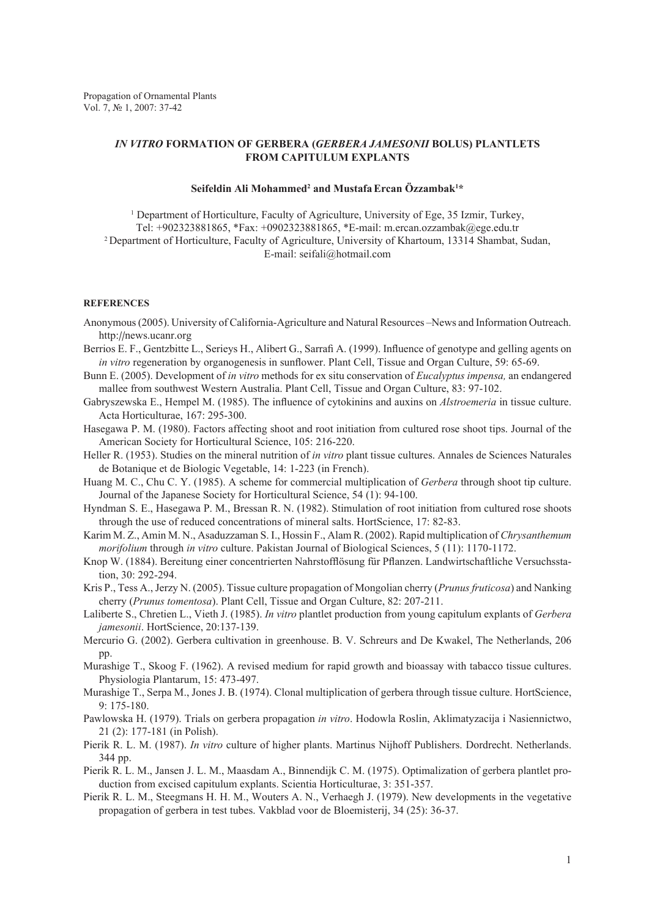## *IN VITRO* **FORMATION OF GERBERA (***GERBERA JAMESONII* **BOLUS) PLANTLETS FROM CAPITULUM EXPLANTS**

## $\mathbf{S}$ eifeldin Ali Mohammed<sup>2</sup> and Mustafa Ercan Özzambak<sup>1\*</sup>

<sup>1</sup> Department of Horticulture, Faculty of Agriculture, University of Ege, 35 Izmir, Turkey, Tel: +902323881865, \*Fax: +0902323881865, \*E-mail: m.ercan.ozzambak@ege.edu.tr 2 Department of Horticulture, Faculty of Agriculture, University of Khartoum, 13314 Shambat, Sudan, E-mail: seifali@hotmail.com

## **REFERENCES**

- Anonymous (2005). University of California-Agriculture and Natural Resources –News and Information Outreach. http://news.ucanr.org
- Berrios E. F., Gentzbitte L., Serieys H., Alibert G., Sarrafi A. (1999). Influence of genotype and gelling agents on *in vitro* regeneration by organogenesis in sunflower. Plant Cell, Tissue and Organ Culture, 59: 65-69.
- Bunn E. (2005). Development of *in vitro* methods for ex situ conservation of *Eucalyptus impensa,* an endangered mallee from southwest Western Australia. Plant Cell, Tissue and Organ Culture, 83: 97-102.
- Gabryszewska E., Hempel M. (1985). The influence of cytokinins and auxins on *Alstroemeria* in tissue culture. Acta Horticulturae, 167: 295-300.
- Hasegawa P. M. (1980). Factors affecting shoot and root initiation from cultured rose shoot tips. Journal of the American Society for Horticultural Science, 105: 216-220.
- Heller R. (1953). Studies on the mineral nutrition of *in vitro* plant tissue cultures. Annales de Sciences Naturales de Botanique et de Biologic Vegetable, 14: 1-223 (in French).
- Huang M. C., Chu C. Y. (1985). A scheme for commercial multiplication of *Gerbera* through shoot tip culture. Journal of the Japanese Society for Horticultural Science, 54 (1): 94-100.
- Hyndman S. E., Hasegawa P. M., Bressan R. N. (1982). Stimulation of root initiation from cultured rose shoots through the use of reduced concentrations of mineral salts. HortScience, 17: 82-83.
- Karim M. Z., Amin M. N., Asaduzzaman S. I., Hossin F., Alam R. (2002). Rapid multiplication of *Chrysanthemum morifolium* through *in vitro* culture. Pakistan Journal of Biological Sciences, 5 (11): 1170-1172.
- Knop W. (1884). Bereitung einer concentrierten Nahrstofflösung für Pflanzen. Landwirtschaftliche Versuchsstation, 30: 292-294.
- Kris P., Tess A., Jerzy N. (2005). Tissue culture propagation of Mongolian cherry (*Prunus fruticosa*) and Nanking cherry (*Prunus tomentosa*). Plant Cell, Tissue and Organ Culture, 82: 207-211.
- Laliberte S., Chretien L., Vieth J. (1985). *In vitro* plantlet production from young capitulum explants of *Gerbera jamesonii*. HortScience, 20:137-139.
- Mercurio G. (2002). Gerbera cultivation in greenhouse. B. V. Schreurs and De Kwakel, The Netherlands, 206 pp.
- Murashige T., Skoog F. (1962). A revised medium for rapid growth and bioassay with tabacco tissue cultures. Physiologia Plantarum, 15: 473-497.
- Murashige T., Serpa M., Jones J. B. (1974). Clonal multiplication of gerbera through tissue culture. HortScience, 9: 175-180.
- Pawlowska H. (1979). Trials on gerbera propagation *in vitro*. Hodowla Roslin, Aklimatyzacija i Nasiennictwo, 21 (2): 177-181 (in Polish).
- Pierik R. L. M. (1987). *In vitro* culture of higher plants. Martinus Nijhoff Publishers. Dordrecht. Netherlands. 344 pp.
- Pierik R. L. M., Jansen J. L. M., Maasdam A., Binnendijk C. M. (1975). Optimalization of gerbera plantlet production from excised capitulum explants. Scientia Horticulturae, 3: 351-357.
- Pierik R. L. M., Steegmans H. H. M., Wouters A. N., Verhaegh J. (1979). New developments in the vegetative propagation of gerbera in test tubes. Vakblad voor de Bloemisterij, 34 (25): 36-37.